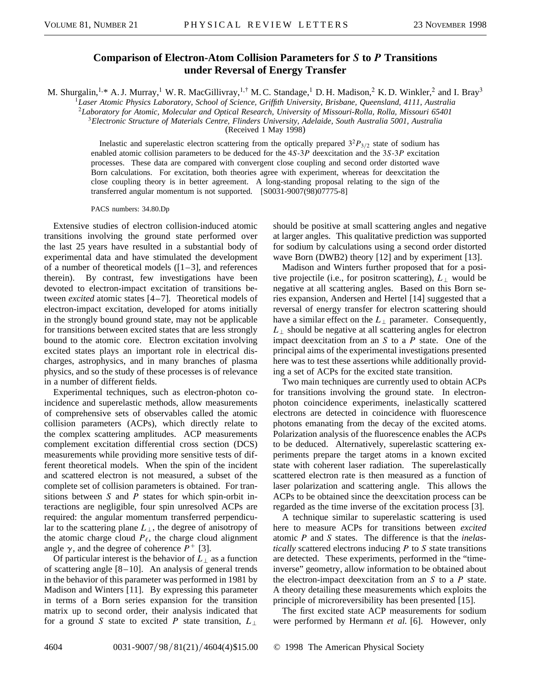## **Comparison of Electron-Atom Collision Parameters for** *S* **to** *P* **Transitions under Reversal of Energy Transfer**

M. Shurgalin,<sup>1,\*</sup> A. J. Murray,<sup>1</sup> W. R. MacGillivray,<sup>1,†</sup> M. C. Standage,<sup>1</sup> D. H. Madison,<sup>2</sup> K. D. Winkler,<sup>2</sup> and I. Bray<sup>3</sup>

<sup>1</sup>*Laser Atomic Physics Laboratory, School of Science, Griffith University, Brisbane, Queensland, 4111, Australia*

<sup>2</sup>*Laboratory for Atomic, Molecular and Optical Research, University of Missouri-Rolla, Rolla, Missouri 65401*

<sup>3</sup>*Electronic Structure of Materials Centre, Flinders University, Adelaide, South Australia 5001, Australia*

(Received 1 May 1998)

Inelastic and superelastic electron scattering from the optically prepared  $3<sup>2</sup>P<sub>3/2</sub>$  state of sodium has enabled atomic collision parameters to be deduced for the 4*S*-3*P* deexcitation and the 3*S*-3*P* excitation processes. These data are compared with convergent close coupling and second order distorted wave Born calculations. For excitation, both theories agree with experiment, whereas for deexcitation the close coupling theory is in better agreement. A long-standing proposal relating to the sign of the transferred angular momentum is not supported. [S0031-9007(98)07775-8]

PACS numbers: 34.80.Dp

Extensive studies of electron collision-induced atomic transitions involving the ground state performed over the last 25 years have resulted in a substantial body of experimental data and have stimulated the development of a number of theoretical models  $(1-3)$ , and references therein). By contrast, few investigations have been devoted to electron-impact excitation of transitions between *excited* atomic states [4–7]. Theoretical models of electron-impact excitation, developed for atoms initially in the strongly bound ground state, may not be applicable for transitions between excited states that are less strongly bound to the atomic core. Electron excitation involving excited states plays an important role in electrical discharges, astrophysics, and in many branches of plasma physics, and so the study of these processes is of relevance in a number of different fields.

Experimental techniques, such as electron-photon coincidence and superelastic methods, allow measurements of comprehensive sets of observables called the atomic collision parameters (ACPs), which directly relate to the complex scattering amplitudes. ACP measurements complement excitation differential cross section (DCS) measurements while providing more sensitive tests of different theoretical models. When the spin of the incident and scattered electron is not measured, a subset of the complete set of collision parameters is obtained. For transitions between *S* and *P* states for which spin-orbit interactions are negligible, four spin unresolved ACPs are required: the angular momentum transferred perpendicular to the scattering plane  $L_{\perp}$ , the degree of anisotropy of the atomic charge cloud  $P_{\ell}$ , the charge cloud alignment angle  $\gamma$ , and the degree of coherence  $P^+$  [3].

Of particular interest is the behavior of  $L_{\perp}$  as a function of scattering angle [8–10]. An analysis of general trends in the behavior of this parameter was performed in 1981 by Madison and Winters [11]. By expressing this parameter in terms of a Born series expansion for the transition matrix up to second order, their analysis indicated that for a ground *S* state to excited *P* state transition,  $L_{\perp}$  should be positive at small scattering angles and negative at larger angles. This qualitative prediction was supported for sodium by calculations using a second order distorted wave Born (DWB2) theory [12] and by experiment [13].

Madison and Winters further proposed that for a positive projectile (i.e., for positron scattering),  $L_{\perp}$  would be negative at all scattering angles. Based on this Born series expansion, Andersen and Hertel [14] suggested that a reversal of energy transfer for electron scattering should have a similar effect on the  $L_{\perp}$  parameter. Consequently,  $L_{\perp}$  should be negative at all scattering angles for electron impact deexcitation from an *S* to a *P* state. One of the principal aims of the experimental investigations presented here was to test these assertions while additionally providing a set of ACPs for the excited state transition.

Two main techniques are currently used to obtain ACPs for transitions involving the ground state. In electronphoton coincidence experiments, inelastically scattered electrons are detected in coincidence with fluorescence photons emanating from the decay of the excited atoms. Polarization analysis of the fluorescence enables the ACPs to be deduced. Alternatively, superelastic scattering experiments prepare the target atoms in a known excited state with coherent laser radiation. The superelastically scattered electron rate is then measured as a function of laser polarization and scattering angle. This allows the ACPs to be obtained since the deexcitation process can be regarded as the time inverse of the excitation process [3].

A technique similar to superelastic scattering is used here to measure ACPs for transitions between *excited* atomic *P* and *S* states. The difference is that the *inelastically* scattered electrons inducing *P* to *S* state transitions are detected. These experiments, performed in the "timeinverse" geometry, allow information to be obtained about the electron-impact deexcitation from an *S* to a *P* state. A theory detailing these measurements which exploits the principle of microreversibility has been presented [15].

The first excited state ACP measurements for sodium were performed by Hermann *et al.* [6]. However, only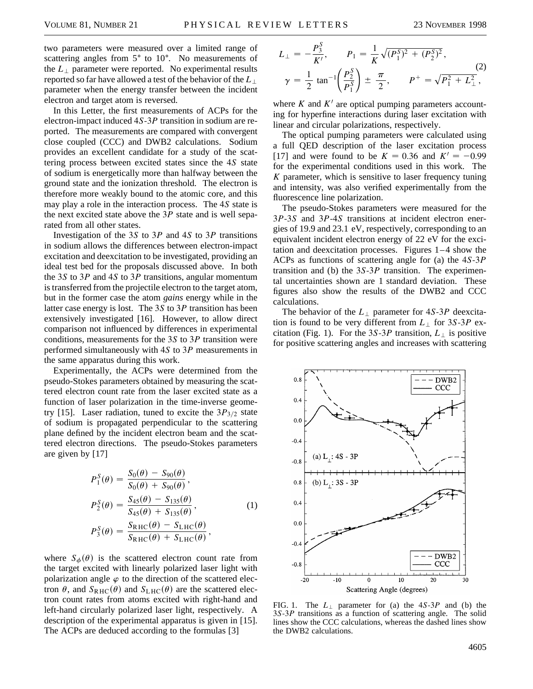two parameters were measured over a limited range of scattering angles from  $5^{\circ}$  to  $10^{\circ}$ . No measurements of the  $L_{\perp}$  parameter were reported. No experimental results reported so far have allowed a test of the behavior of the *L*' parameter when the energy transfer between the incident electron and target atom is reversed.

In this Letter, the first measurements of ACPs for the electron-impact induced 4*S*-3*P* transition in sodium are reported. The measurements are compared with convergent close coupled (CCC) and DWB2 calculations. Sodium provides an excellent candidate for a study of the scattering process between excited states since the 4*S* state of sodium is energetically more than halfway between the ground state and the ionization threshold. The electron is therefore more weakly bound to the atomic core, and this may play a role in the interaction process. The 4*S* state is the next excited state above the 3*P* state and is well separated from all other states.

Investigation of the 3*S* to 3*P* and 4*S* to 3*P* transitions in sodium allows the differences between electron-impact excitation and deexcitation to be investigated, providing an ideal test bed for the proposals discussed above. In both the 3*S* to 3*P* and 4*S* to 3*P* transitions, angular momentum is transferred from the projectile electron to the target atom, but in the former case the atom *gains* energy while in the latter case energy is lost. The 3*S* to 3*P* transition has been extensively investigated [16]. However, to allow direct comparison not influenced by differences in experimental conditions, measurements for the 3*S* to 3*P* transition were performed simultaneously with 4*S* to 3*P* measurements in the same apparatus during this work.

Experimentally, the ACPs were determined from the pseudo-Stokes parameters obtained by measuring the scattered electron count rate from the laser excited state as a function of laser polarization in the time-inverse geometry [15]. Laser radiation, tuned to excite the  $3P_{3/2}$  state of sodium is propagated perpendicular to the scattering plane defined by the incident electron beam and the scattered electron directions. The pseudo-Stokes parameters are given by [17]

$$
P_1^S(\theta) = \frac{S_0(\theta) - S_{90}(\theta)}{S_0(\theta) + S_{90}(\theta)},
$$
  
\n
$$
P_2^S(\theta) = \frac{S_{45}(\theta) - S_{135}(\theta)}{S_{45}(\theta) + S_{135}(\theta)},
$$
  
\n
$$
P_3^S(\theta) = \frac{S_{RHC}(\theta) - S_{LHC}(\theta)}{S_{RHC}(\theta) + S_{LHC}(\theta)},
$$
\n(1)

where  $S_{\phi}(\theta)$  is the scattered electron count rate from the target excited with linearly polarized laser light with polarization angle  $\varphi$  to the direction of the scattered electron  $\theta$ , and  $S_{RHC}(\theta)$  and  $S_{LHC}(\theta)$  are the scattered electron count rates from atoms excited with right-hand and left-hand circularly polarized laser light, respectively. A description of the experimental apparatus is given in [15]. The ACPs are deduced according to the formulas [3]

$$
L_{\perp} = -\frac{P_3^S}{K'}, \qquad P_1 = \frac{1}{K} \sqrt{(P_1^S)^2 + (P_2^S)^2},
$$
  

$$
\gamma = \frac{1}{2} \tan^{-1} \left(\frac{P_2^S}{P_1^S}\right) \pm \frac{\pi}{2}, \qquad P^+ = \sqrt{P_1^2 + L_{\perp}^2},
$$
 (2)

where  $K$  and  $K'$  are optical pumping parameters accounting for hyperfine interactions during laser excitation with linear and circular polarizations, respectively.

The optical pumping parameters were calculated using a full QED description of the laser excitation process [17] and were found to be  $K = 0.36$  and  $K' = -0.99$ for the experimental conditions used in this work. The *K* parameter, which is sensitive to laser frequency tuning and intensity, was also verified experimentally from the fluorescence line polarization.

The pseudo-Stokes parameters were measured for the 3*P*-3*S* and 3*P*-4*S* transitions at incident electron energies of 19.9 and 23.1 eV, respectively, corresponding to an equivalent incident electron energy of 22 eV for the excitation and deexcitation processes. Figures 1–4 show the ACPs as functions of scattering angle for (a) the 4*S*-3*P* transition and (b) the 3*S*-3*P* transition. The experimental uncertainties shown are 1 standard deviation. These figures also show the results of the DWB2 and CCC calculations.

The behavior of the  $L_{\perp}$  parameter for 4*S*-3*P* deexcitation is found to be very different from  $L_{\perp}$  for 3*S*-3*P* excitation (Fig. 1). For the 3*S*-3*P* transition,  $L_{\perp}$  is positive for positive scattering angles and increases with scattering



FIG. 1. The  $L_{\perp}$  parameter for (a) the  $4S-3P$  and (b) the 3*S*-3*P* transitions as a function of scattering angle. The solid lines show the CCC calculations, whereas the dashed lines show the DWB2 calculations.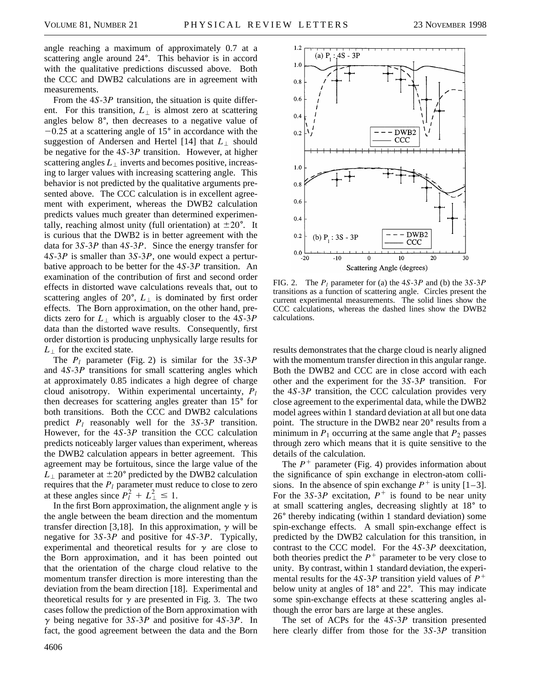angle reaching a maximum of approximately 0.7 at a scattering angle around  $24^\circ$ . This behavior is in accord with the qualitative predictions discussed above. Both the CCC and DWB2 calculations are in agreement with measurements.

From the 4*S*-3*P* transition, the situation is quite different. For this transition,  $L_{\perp}$  is almost zero at scattering angles below  $8^\circ$ , then decreases to a negative value of  $-0.25$  at a scattering angle of 15 $\degree$  in accordance with the suggestion of Andersen and Hertel [14] that  $L_{\perp}$  should be negative for the 4*S*-3*P* transition. However, at higher scattering angles  $L_{\perp}$  inverts and becomes positive, increasing to larger values with increasing scattering angle. This behavior is not predicted by the qualitative arguments presented above. The CCC calculation is in excellent agreement with experiment, whereas the DWB2 calculation predicts values much greater than determined experimentally, reaching almost unity (full orientation) at  $\pm 20^{\circ}$ . It is curious that the DWB2 is in better agreement with the data for 3*S*-3*P* than 4*S*-3*P*. Since the energy transfer for 4*S*-3*P* is smaller than 3*S*-3*P*, one would expect a perturbative approach to be better for the 4*S*-3*P* transition. An examination of the contribution of first and second order effects in distorted wave calculations reveals that, out to scattering angles of  $20^\circ$ ,  $L_{\perp}$  is dominated by first order effects. The Born approximation, on the other hand, predicts zero for  $L_{\perp}$  which is arguably closer to the  $4S-3P$ data than the distorted wave results. Consequently, first order distortion is producing unphysically large results for  $L_{\perp}$  for the excited state.

The *Pl* parameter (Fig. 2) is similar for the 3*S*-3*P* and 4*S*-3*P* transitions for small scattering angles which at approximately 0.85 indicates a high degree of charge cloud anisotropy. Within experimental uncertainty, *Pl* then decreases for scattering angles greater than  $15^{\circ}$  for both transitions. Both the CCC and DWB2 calculations predict *Pl* reasonably well for the 3*S*-3*P* transition. However, for the 4*S*-3*P* transition the CCC calculation predicts noticeably larger values than experiment, whereas the DWB2 calculation appears in better agreement. This agreement may be fortuitous, since the large value of the  $L_{\perp}$  parameter at  $\pm 20^{\circ}$  predicted by the DWB2 calculation requires that the  $P_l$  parameter must reduce to close to zero at these angles since  $P_l^2 + L_{\perp}^2 \le 1$ .

In the first Born approximation, the alignment angle  $\gamma$  is the angle between the beam direction and the momentum transfer direction [3,18]. In this approximation,  $\gamma$  will be negative for 3*S*-3*P* and positive for 4*S*-3*P*. Typically, experimental and theoretical results for  $\gamma$  are close to the Born approximation, and it has been pointed out that the orientation of the charge cloud relative to the momentum transfer direction is more interesting than the deviation from the beam direction [18]. Experimental and theoretical results for  $\gamma$  are presented in Fig. 3. The two cases follow the prediction of the Born approximation with  $\gamma$  being negative for 3*S*-3*P* and positive for 4*S*-3*P*. In fact, the good agreement between the data and the Born



FIG. 2. The *Pl* parameter for (a) the 4*S*-3*P* and (b) the 3*S*-3*P* transitions as a function of scattering angle. Circles present the current experimental measurements. The solid lines show the CCC calculations, whereas the dashed lines show the DWB2 calculations.

results demonstrates that the charge cloud is nearly aligned with the momentum transfer direction in this angular range. Both the DWB2 and CCC are in close accord with each other and the experiment for the 3*S*-3*P* transition. For the 4*S*-3*P* transition, the CCC calculation provides very close agreement to the experimental data, while the DWB2 model agrees within 1 standard deviation at all but one data point. The structure in the DWB2 near 20<sup>°</sup> results from a minimum in  $P_1$  occurring at the same angle that  $P_2$  passes through zero which means that it is quite sensitive to the details of the calculation.

The  $P^+$  parameter (Fig. 4) provides information about the significance of spin exchange in electron-atom collisions. In the absence of spin exchange  $P^+$  is unity  $[1-3]$ . For the 3*S*-3*P* excitation,  $P^+$  is found to be near unity at small scattering angles, decreasing slightly at 18° to 26<sup>°</sup> thereby indicating (within 1 standard deviation) some spin-exchange effects. A small spin-exchange effect is predicted by the DWB2 calculation for this transition, in contrast to the CCC model. For the 4*S*-3*P* deexcitation, both theories predict the  $P<sup>+</sup>$  parameter to be very close to unity. By contrast, within 1 standard deviation, the experimental results for the 4*S*-3*P* transition yield values of  $P^+$ below unity at angles of  $18^{\circ}$  and  $22^{\circ}$ . This may indicate some spin-exchange effects at these scattering angles although the error bars are large at these angles.

The set of ACPs for the 4*S*-3*P* transition presented here clearly differ from those for the 3*S*-3*P* transition